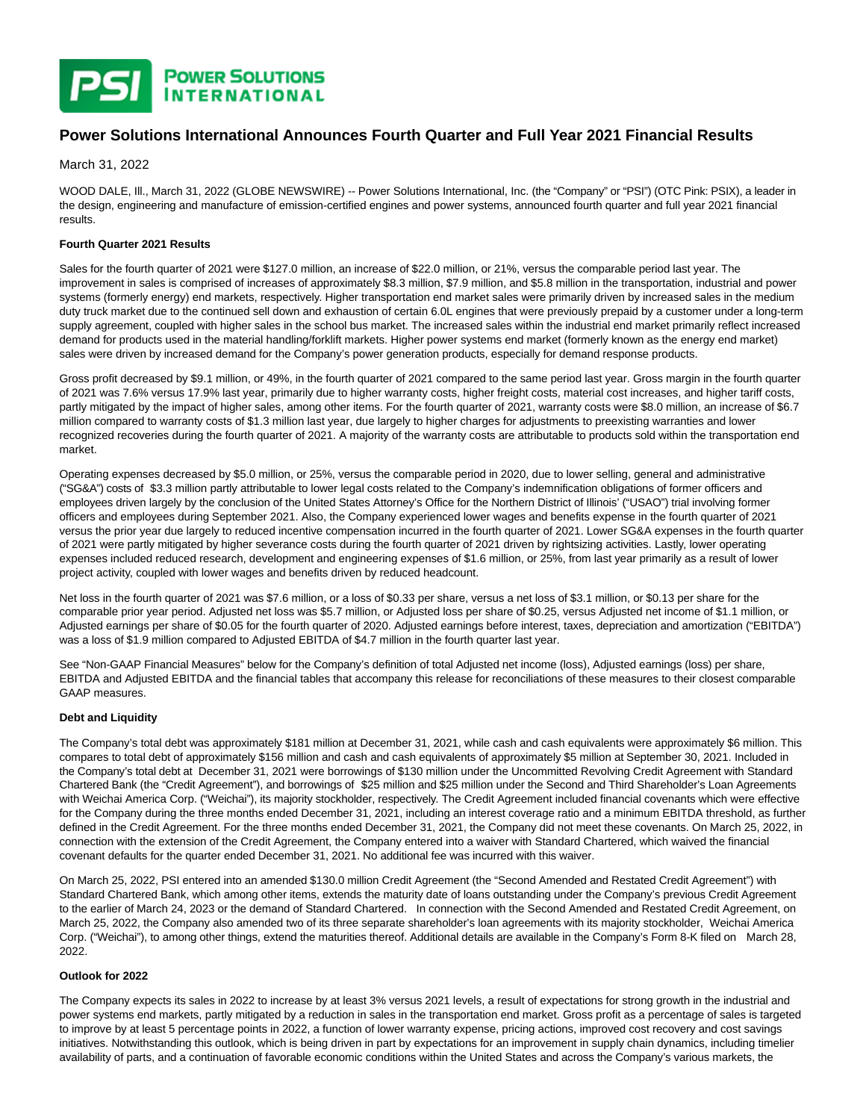

# **Power Solutions International Announces Fourth Quarter and Full Year 2021 Financial Results**

March 31, 2022

WOOD DALE, Ill., March 31, 2022 (GLOBE NEWSWIRE) -- Power Solutions International, Inc. (the "Company" or "PSI") (OTC Pink: PSIX), a leader in the design, engineering and manufacture of emission-certified engines and power systems, announced fourth quarter and full year 2021 financial results.

# **Fourth Quarter 2021 Results**

Sales for the fourth quarter of 2021 were \$127.0 million, an increase of \$22.0 million, or 21%, versus the comparable period last year. The improvement in sales is comprised of increases of approximately \$8.3 million, \$7.9 million, and \$5.8 million in the transportation, industrial and power systems (formerly energy) end markets, respectively. Higher transportation end market sales were primarily driven by increased sales in the medium duty truck market due to the continued sell down and exhaustion of certain 6.0L engines that were previously prepaid by a customer under a long-term supply agreement, coupled with higher sales in the school bus market. The increased sales within the industrial end market primarily reflect increased demand for products used in the material handling/forklift markets. Higher power systems end market (formerly known as the energy end market) sales were driven by increased demand for the Company's power generation products, especially for demand response products.

Gross profit decreased by \$9.1 million, or 49%, in the fourth quarter of 2021 compared to the same period last year. Gross margin in the fourth quarter of 2021 was 7.6% versus 17.9% last year, primarily due to higher warranty costs, higher freight costs, material cost increases, and higher tariff costs, partly mitigated by the impact of higher sales, among other items. For the fourth quarter of 2021, warranty costs were \$8.0 million, an increase of \$6.7 million compared to warranty costs of \$1.3 million last year, due largely to higher charges for adjustments to preexisting warranties and lower recognized recoveries during the fourth quarter of 2021. A majority of the warranty costs are attributable to products sold within the transportation end market.

Operating expenses decreased by \$5.0 million, or 25%, versus the comparable period in 2020, due to lower selling, general and administrative ("SG&A") costs of \$3.3 million partly attributable to lower legal costs related to the Company's indemnification obligations of former officers and employees driven largely by the conclusion of the United States Attorney's Office for the Northern District of Illinois' ("USAO") trial involving former officers and employees during September 2021. Also, the Company experienced lower wages and benefits expense in the fourth quarter of 2021 versus the prior year due largely to reduced incentive compensation incurred in the fourth quarter of 2021. Lower SG&A expenses in the fourth quarter of 2021 were partly mitigated by higher severance costs during the fourth quarter of 2021 driven by rightsizing activities. Lastly, lower operating expenses included reduced research, development and engineering expenses of \$1.6 million, or 25%, from last year primarily as a result of lower project activity, coupled with lower wages and benefits driven by reduced headcount.

Net loss in the fourth quarter of 2021 was \$7.6 million, or a loss of \$0.33 per share, versus a net loss of \$3.1 million, or \$0.13 per share for the comparable prior year period. Adjusted net loss was \$5.7 million, or Adjusted loss per share of \$0.25, versus Adjusted net income of \$1.1 million, or Adjusted earnings per share of \$0.05 for the fourth quarter of 2020. Adjusted earnings before interest, taxes, depreciation and amortization ("EBITDA") was a loss of \$1.9 million compared to Adjusted EBITDA of \$4.7 million in the fourth quarter last year.

See "Non-GAAP Financial Measures" below for the Company's definition of total Adjusted net income (loss), Adjusted earnings (loss) per share, EBITDA and Adjusted EBITDA and the financial tables that accompany this release for reconciliations of these measures to their closest comparable GAAP measures.

# **Debt and Liquidity**

The Company's total debt was approximately \$181 million at December 31, 2021, while cash and cash equivalents were approximately \$6 million. This compares to total debt of approximately \$156 million and cash and cash equivalents of approximately \$5 million at September 30, 2021. Included in the Company's total debt at December 31, 2021 were borrowings of \$130 million under the Uncommitted Revolving Credit Agreement with Standard Chartered Bank (the "Credit Agreement"), and borrowings of \$25 million and \$25 million under the Second and Third Shareholder's Loan Agreements with Weichai America Corp. ("Weichai"), its majority stockholder, respectively. The Credit Agreement included financial covenants which were effective for the Company during the three months ended December 31, 2021, including an interest coverage ratio and a minimum EBITDA threshold, as further defined in the Credit Agreement. For the three months ended December 31, 2021, the Company did not meet these covenants. On March 25, 2022, in connection with the extension of the Credit Agreement, the Company entered into a waiver with Standard Chartered, which waived the financial covenant defaults for the quarter ended December 31, 2021. No additional fee was incurred with this waiver.

On March 25, 2022, PSI entered into an amended \$130.0 million Credit Agreement (the "Second Amended and Restated Credit Agreement") with Standard Chartered Bank, which among other items, extends the maturity date of loans outstanding under the Company's previous Credit Agreement to the earlier of March 24, 2023 or the demand of Standard Chartered. In connection with the Second Amended and Restated Credit Agreement, on March 25, 2022, the Company also amended two of its three separate shareholder's loan agreements with its majority stockholder, Weichai America Corp. ("Weichai"), to among other things, extend the maturities thereof. Additional details are available in the Company's Form 8-K filed on March 28, 2022.

# **Outlook for 2022**

The Company expects its sales in 2022 to increase by at least 3% versus 2021 levels, a result of expectations for strong growth in the industrial and power systems end markets, partly mitigated by a reduction in sales in the transportation end market. Gross profit as a percentage of sales is targeted to improve by at least 5 percentage points in 2022, a function of lower warranty expense, pricing actions, improved cost recovery and cost savings initiatives. Notwithstanding this outlook, which is being driven in part by expectations for an improvement in supply chain dynamics, including timelier availability of parts, and a continuation of favorable economic conditions within the United States and across the Company's various markets, the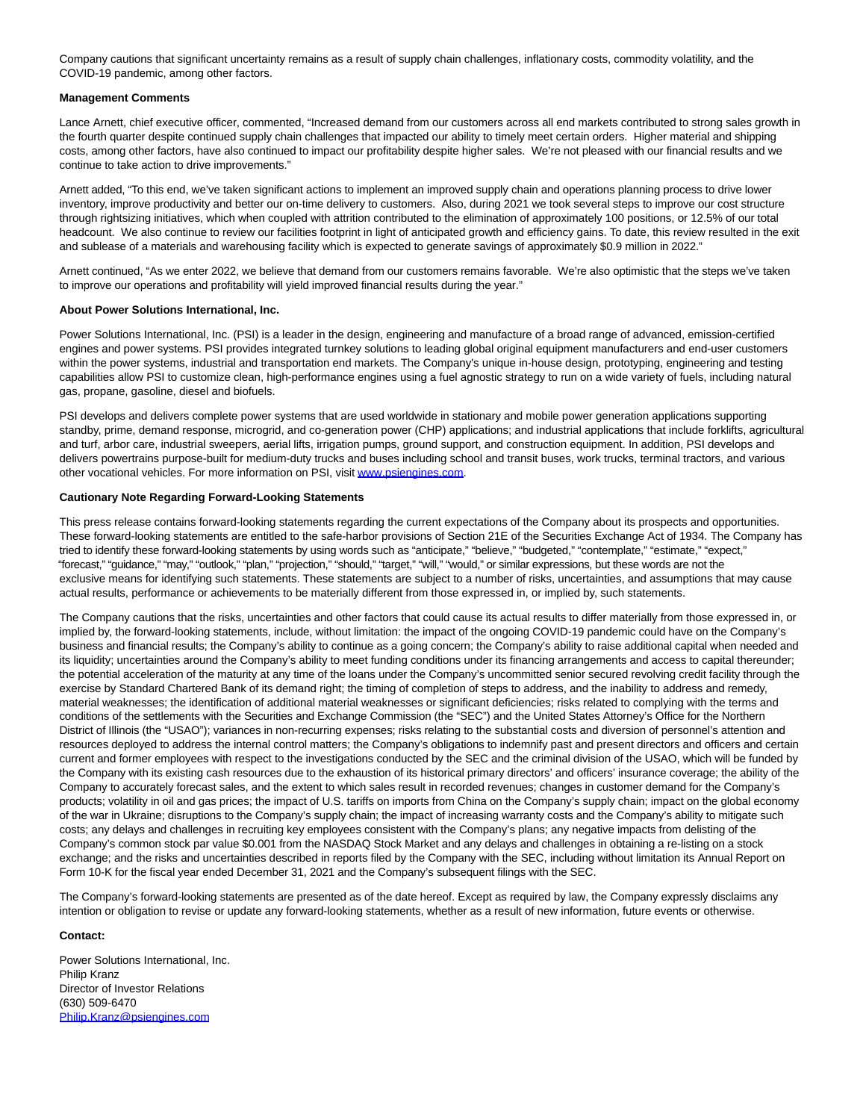Company cautions that significant uncertainty remains as a result of supply chain challenges, inflationary costs, commodity volatility, and the COVID-19 pandemic, among other factors.

#### **Management Comments**

Lance Arnett, chief executive officer, commented, "Increased demand from our customers across all end markets contributed to strong sales growth in the fourth quarter despite continued supply chain challenges that impacted our ability to timely meet certain orders. Higher material and shipping costs, among other factors, have also continued to impact our profitability despite higher sales. We're not pleased with our financial results and we continue to take action to drive improvements."

Arnett added, "To this end, we've taken significant actions to implement an improved supply chain and operations planning process to drive lower inventory, improve productivity and better our on-time delivery to customers. Also, during 2021 we took several steps to improve our cost structure through rightsizing initiatives, which when coupled with attrition contributed to the elimination of approximately 100 positions, or 12.5% of our total headcount. We also continue to review our facilities footprint in light of anticipated growth and efficiency gains. To date, this review resulted in the exit and sublease of a materials and warehousing facility which is expected to generate savings of approximately \$0.9 million in 2022."

Arnett continued, "As we enter 2022, we believe that demand from our customers remains favorable. We're also optimistic that the steps we've taken to improve our operations and profitability will yield improved financial results during the year."

# **About Power Solutions International, Inc.**

Power Solutions International, Inc. (PSI) is a leader in the design, engineering and manufacture of a broad range of advanced, emission-certified engines and power systems. PSI provides integrated turnkey solutions to leading global original equipment manufacturers and end-user customers within the power systems, industrial and transportation end markets. The Company's unique in-house design, prototyping, engineering and testing capabilities allow PSI to customize clean, high-performance engines using a fuel agnostic strategy to run on a wide variety of fuels, including natural gas, propane, gasoline, diesel and biofuels.

PSI develops and delivers complete power systems that are used worldwide in stationary and mobile power generation applications supporting standby, prime, demand response, microgrid, and co-generation power (CHP) applications; and industrial applications that include forklifts, agricultural and turf, arbor care, industrial sweepers, aerial lifts, irrigation pumps, ground support, and construction equipment. In addition, PSI develops and delivers powertrains purpose-built for medium-duty trucks and buses including school and transit buses, work trucks, terminal tractors, and various other vocational vehicles. For more information on PSI, visi[t www.psiengines.com.](https://www.globenewswire.com/Tracker?data=PM0GE-R9nXelhlBJmcyFLzFPcGTXgIfJj4pASthXs2yhfmFVvi7zGtsckJh3p_1sCSlPXWTCf1zdeqpMJzAU9lRnrM0qeyAlJEBONPCcDUs=) 

#### **Cautionary Note Regarding Forward-Looking Statements**

This press release contains forward-looking statements regarding the current expectations of the Company about its prospects and opportunities. These forward-looking statements are entitled to the safe-harbor provisions of Section 21E of the Securities Exchange Act of 1934. The Company has tried to identify these forward-looking statements by using words such as "anticipate," "believe," "budgeted," "contemplate," "estimate," "expect," "forecast," "guidance," "may," "outlook," "plan," "projection," "should," "target," "will," "would," or similar expressions, but these words are not the exclusive means for identifying such statements. These statements are subject to a number of risks, uncertainties, and assumptions that may cause actual results, performance or achievements to be materially different from those expressed in, or implied by, such statements.

The Company cautions that the risks, uncertainties and other factors that could cause its actual results to differ materially from those expressed in, or implied by, the forward-looking statements, include, without limitation: the impact of the ongoing COVID-19 pandemic could have on the Company's business and financial results; the Company's ability to continue as a going concern; the Company's ability to raise additional capital when needed and its liquidity; uncertainties around the Company's ability to meet funding conditions under its financing arrangements and access to capital thereunder; the potential acceleration of the maturity at any time of the loans under the Company's uncommitted senior secured revolving credit facility through the exercise by Standard Chartered Bank of its demand right; the timing of completion of steps to address, and the inability to address and remedy, material weaknesses; the identification of additional material weaknesses or significant deficiencies; risks related to complying with the terms and conditions of the settlements with the Securities and Exchange Commission (the "SEC") and the United States Attorney's Office for the Northern District of Illinois (the "USAO"); variances in non-recurring expenses; risks relating to the substantial costs and diversion of personnel's attention and resources deployed to address the internal control matters; the Company's obligations to indemnify past and present directors and officers and certain current and former employees with respect to the investigations conducted by the SEC and the criminal division of the USAO, which will be funded by the Company with its existing cash resources due to the exhaustion of its historical primary directors' and officers' insurance coverage; the ability of the Company to accurately forecast sales, and the extent to which sales result in recorded revenues; changes in customer demand for the Company's products; volatility in oil and gas prices; the impact of U.S. tariffs on imports from China on the Company's supply chain; impact on the global economy of the war in Ukraine; disruptions to the Company's supply chain; the impact of increasing warranty costs and the Company's ability to mitigate such costs; any delays and challenges in recruiting key employees consistent with the Company's plans; any negative impacts from delisting of the Company's common stock par value \$0.001 from the NASDAQ Stock Market and any delays and challenges in obtaining a re-listing on a stock exchange; and the risks and uncertainties described in reports filed by the Company with the SEC, including without limitation its Annual Report on Form 10-K for the fiscal year ended December 31, 2021 and the Company's subsequent filings with the SEC.

The Company's forward-looking statements are presented as of the date hereof. Except as required by law, the Company expressly disclaims any intention or obligation to revise or update any forward-looking statements, whether as a result of new information, future events or otherwise.

# **Contact:**

Power Solutions International, Inc. Philip Kranz Director of Investor Relations (630) 509-6470 [Philip.Kranz@psiengines.com](https://www.globenewswire.com/Tracker?data=61OLeLsMHg8pBkmtH8lQe9QA-G33KH6LxBnAGzk4rk_ltcAz1lWUk8-2zr04LW1J0g-riRbFqLZRvo00vpenUMJvyZxzehzKhsYzIk0TU_aYM6999ArTTdF0O0GmQXTO)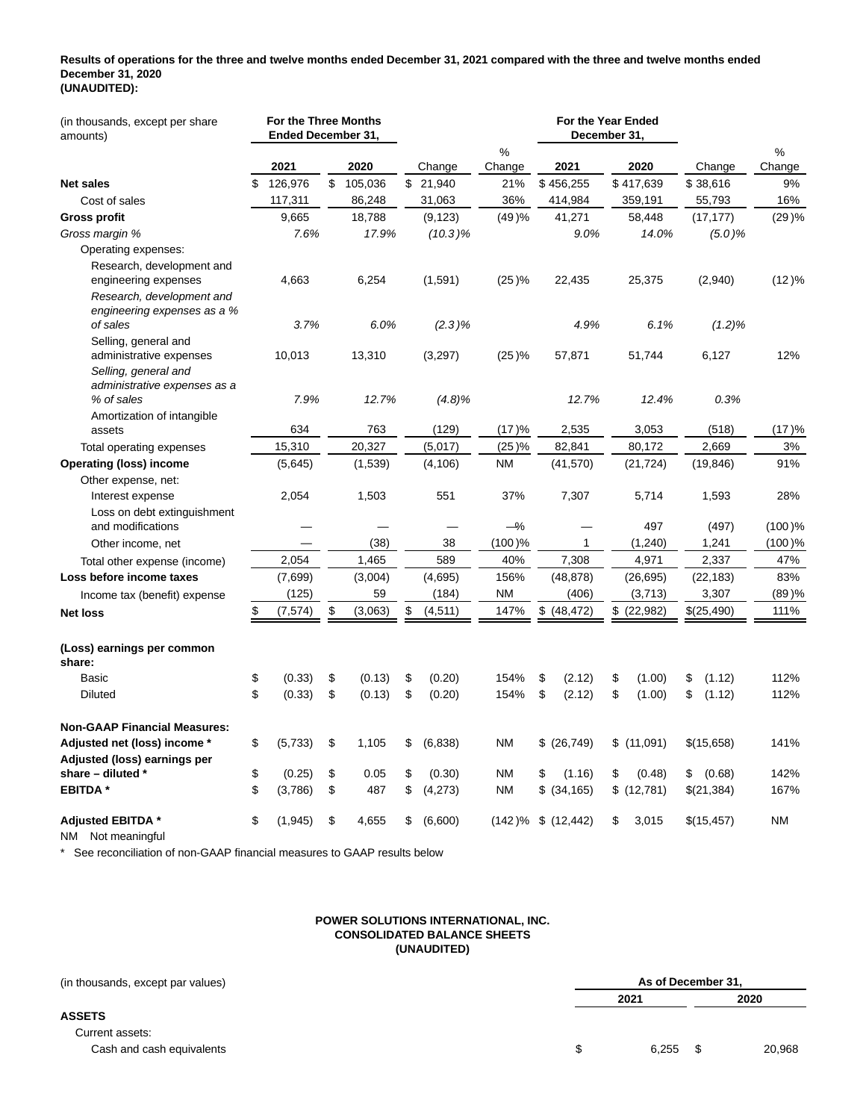# **Results of operations for the three and twelve months ended December 31, 2021 compared with the three and twelve months ended December 31, 2020 (UNAUDITED):**

| (in thousands, except per share<br>amounts) |                | For the Three Months<br><b>Ended December 31.</b> |         |    |           |             |                 | For the Year Ended<br>December 31, |              |             |
|---------------------------------------------|----------------|---------------------------------------------------|---------|----|-----------|-------------|-----------------|------------------------------------|--------------|-------------|
|                                             | 2021           |                                                   | 2020    |    | Change    | ℅<br>Change | 2021            | 2020                               | Change       | %<br>Change |
| <b>Net sales</b>                            | \$<br>126,976  | \$                                                | 105,036 |    | \$21,940  | 21%         | \$456,255       | \$417,639                          | \$38,616     | 9%          |
| Cost of sales                               | 117,311        |                                                   | 86,248  |    | 31,063    | 36%         | 414,984         | 359,191                            | 55,793       | 16%         |
| <b>Gross profit</b>                         | 9,665          |                                                   | 18,788  |    | (9, 123)  | (49)%       | 41,271          | 58,448                             | (17, 177)    | (29)%       |
| Gross margin %                              | 7.6%           |                                                   | 17.9%   |    | (10.3)%   |             | 9.0%            | 14.0%                              | (5.0)%       |             |
| Operating expenses:                         |                |                                                   |         |    |           |             |                 |                                    |              |             |
| Research, development and                   |                |                                                   |         |    |           |             |                 |                                    |              |             |
| engineering expenses                        | 4,663          |                                                   | 6,254   |    | (1,591)   | (25)%       | 22,435          | 25,375                             | (2,940)      | (12)%       |
| Research, development and                   |                |                                                   |         |    |           |             |                 |                                    |              |             |
| engineering expenses as a %<br>of sales     | 3.7%           |                                                   | 6.0%    |    | $(2.3)\%$ |             | 4.9%            | 6.1%                               | $(1.2)\%$    |             |
| Selling, general and                        |                |                                                   |         |    |           |             |                 |                                    |              |             |
| administrative expenses                     | 10,013         |                                                   | 13,310  |    | (3,297)   | (25)%       | 57,871          | 51,744                             | 6.127        | 12%         |
| Selling, general and                        |                |                                                   |         |    |           |             |                 |                                    |              |             |
| administrative expenses as a                |                |                                                   |         |    |           |             |                 |                                    |              |             |
| % of sales                                  | 7.9%           |                                                   | 12.7%   |    | (4.8)%    |             | 12.7%           | 12.4%                              | 0.3%         |             |
| Amortization of intangible<br>assets        | 634            |                                                   | 763     |    | (129)     | (17)%       | 2,535           | 3,053                              | (518)        | (17)%       |
| Total operating expenses                    | 15,310         |                                                   | 20,327  |    | (5,017)   | (25)%       | 82,841          | 80,172                             | 2,669        | 3%          |
| <b>Operating (loss) income</b>              | (5,645)        |                                                   | (1,539) |    | (4, 106)  | NM          | (41, 570)       | (21, 724)                          | (19, 846)    | 91%         |
| Other expense, net:                         |                |                                                   |         |    |           |             |                 |                                    |              |             |
| Interest expense                            | 2,054          |                                                   | 1,503   |    | 551       | 37%         | 7,307           | 5,714                              | 1,593        | 28%         |
| Loss on debt extinguishment                 |                |                                                   |         |    |           |             |                 |                                    |              |             |
| and modifications                           |                |                                                   |         |    |           | $-\%$       |                 | 497                                | (497)        | $(100)$ %   |
| Other income, net                           |                |                                                   | (38)    |    | 38        | $(100)$ %   | $\mathbf{1}$    | (1, 240)                           | 1,241        | $(100)$ %   |
| Total other expense (income)                | 2,054          |                                                   | 1,465   |    | 589       | 40%         | 7,308           | 4,971                              | 2,337        | 47%         |
| Loss before income taxes                    | (7,699)        |                                                   | (3,004) |    | (4,695)   | 156%        | (48, 878)       | (26, 695)                          | (22, 183)    | 83%         |
| Income tax (benefit) expense                | (125)          |                                                   | 59      |    | (184)     | ΝM          | (406)           | (3,713)                            | 3,307        | (89)%       |
| <b>Net loss</b>                             | \$<br>(7, 574) | \$                                                | (3,063) | \$ | (4, 511)  | 147%        | \$<br>(48, 472) | \$<br>(22, 982)                    | \$(25,490)   | 111%        |
| (Loss) earnings per common<br>share:        |                |                                                   |         |    |           |             |                 |                                    |              |             |
| Basic                                       | \$<br>(0.33)   | \$                                                | (0.13)  | \$ | (0.20)    | 154%        | \$<br>(2.12)    | \$<br>(1.00)                       | \$<br>(1.12) | 112%        |
| <b>Diluted</b>                              | \$<br>(0.33)   | \$                                                | (0.13)  | \$ | (0.20)    | 154%        | \$<br>(2.12)    | \$<br>(1.00)                       | \$<br>(1.12) | 112%        |
| <b>Non-GAAP Financial Measures:</b>         |                |                                                   |         |    |           |             |                 |                                    |              |             |
| Adjusted net (loss) income *                | \$<br>(5,733)  | \$                                                | 1.105   | \$ | (6,838)   | <b>NM</b>   | \$ (26,749)     | \$(11,091)                         | \$(15,658)   | 141%        |
| Adjusted (loss) earnings per                |                |                                                   |         |    |           |             |                 |                                    |              |             |
| share - diluted *                           | \$<br>(0.25)   | \$                                                | 0.05    | \$ | (0.30)    | <b>NM</b>   | \$<br>(1.16)    | \$<br>(0.48)                       | \$<br>(0.68) | 142%        |
| <b>EBITDA*</b>                              | \$<br>(3,786)  | \$                                                | 487     | \$ | (4,273)   | <b>NM</b>   | $$$ (34,165)    | \$(12,781)                         | \$(21,384)   | 167%        |
| Adjusted EBITDA *                           | \$<br>(1, 945) | \$                                                | 4,655   | \$ | (6,600)   | (142)%      | \$(12, 442)     | \$<br>3,015                        | \$(15,457)   | <b>NM</b>   |
|                                             |                |                                                   |         |    |           |             |                 |                                    |              |             |

NM Not meaningful

\* See reconciliation of non-GAAP financial measures to GAAP results below

# **POWER SOLUTIONS INTERNATIONAL, INC. CONSOLIDATED BALANCE SHEETS (UNAUDITED)**

| (in thousands, except par values) | As of December 31, |  |        |  |  |  |  |  |  |  |
|-----------------------------------|--------------------|--|--------|--|--|--|--|--|--|--|
|                                   | 2021               |  | 2020   |  |  |  |  |  |  |  |
| <b>ASSETS</b>                     |                    |  |        |  |  |  |  |  |  |  |
| Current assets:                   |                    |  |        |  |  |  |  |  |  |  |
| Cash and cash equivalents         | \$<br>6.255        |  | 20,968 |  |  |  |  |  |  |  |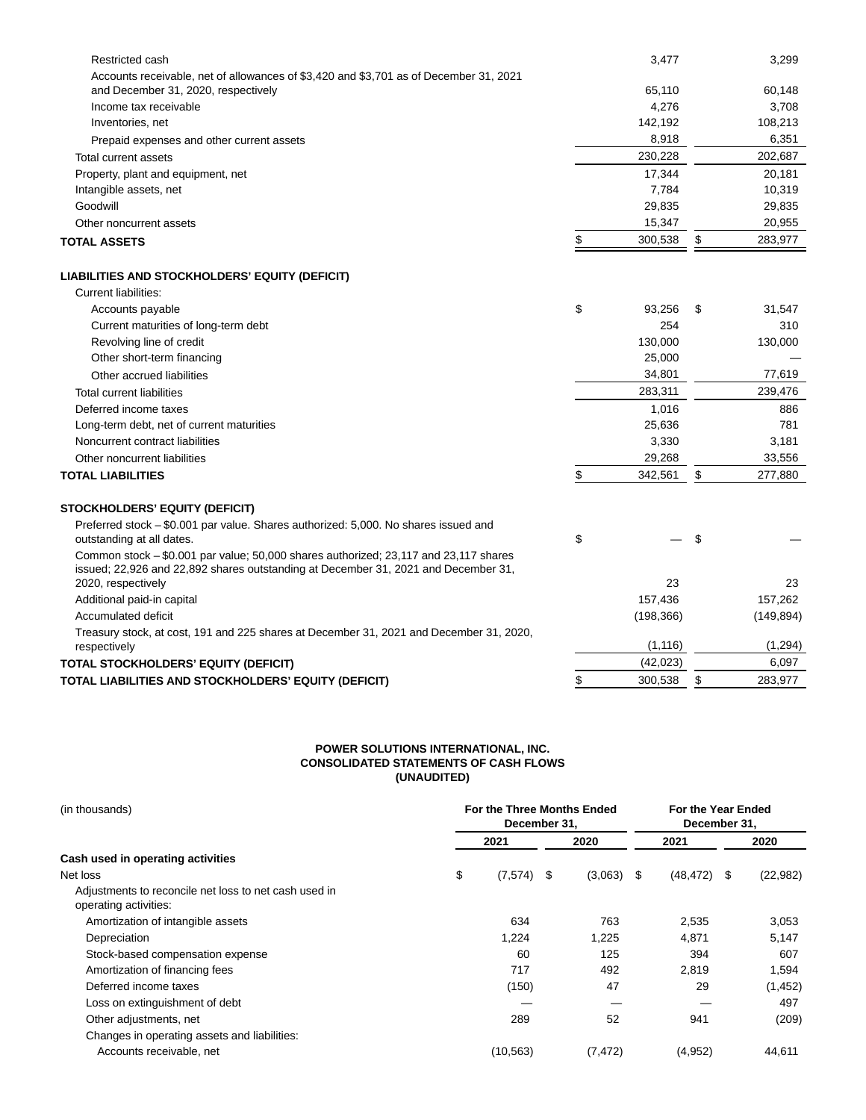| Restricted cash                                                                                                                                                            | 3,477         | 3,299         |
|----------------------------------------------------------------------------------------------------------------------------------------------------------------------------|---------------|---------------|
| Accounts receivable, net of allowances of \$3,420 and \$3,701 as of December 31, 2021                                                                                      |               |               |
| and December 31, 2020, respectively                                                                                                                                        | 65,110        | 60,148        |
| Income tax receivable                                                                                                                                                      | 4,276         | 3,708         |
| Inventories, net                                                                                                                                                           | 142,192       | 108,213       |
| Prepaid expenses and other current assets                                                                                                                                  | 8,918         | 6,351         |
| Total current assets                                                                                                                                                       | 230,228       | 202,687       |
| Property, plant and equipment, net                                                                                                                                         | 17,344        | 20,181        |
| Intangible assets, net                                                                                                                                                     | 7,784         | 10,319        |
| Goodwill                                                                                                                                                                   | 29,835        | 29,835        |
| Other noncurrent assets                                                                                                                                                    | 15,347        | 20,955        |
| <b>TOTAL ASSETS</b>                                                                                                                                                        | \$<br>300,538 | \$<br>283,977 |
| LIABILITIES AND STOCKHOLDERS' EQUITY (DEFICIT)                                                                                                                             |               |               |
| <b>Current liabilities:</b>                                                                                                                                                |               |               |
| Accounts payable                                                                                                                                                           | \$<br>93,256  | \$<br>31,547  |
| Current maturities of long-term debt                                                                                                                                       | 254           | 310           |
| Revolving line of credit                                                                                                                                                   | 130,000       | 130,000       |
| Other short-term financing                                                                                                                                                 | 25,000        |               |
| Other accrued liabilities                                                                                                                                                  | 34,801        | 77,619        |
| <b>Total current liabilities</b>                                                                                                                                           | 283,311       | 239,476       |
| Deferred income taxes                                                                                                                                                      | 1,016         | 886           |
| Long-term debt, net of current maturities                                                                                                                                  | 25,636        | 781           |
| Noncurrent contract liabilities                                                                                                                                            | 3,330         | 3,181         |
| Other noncurrent liabilities                                                                                                                                               | 29,268        | 33,556        |
| <b>TOTAL LIABILITIES</b>                                                                                                                                                   | \$<br>342,561 | \$<br>277,880 |
|                                                                                                                                                                            |               |               |
| <b>STOCKHOLDERS' EQUITY (DEFICIT)</b>                                                                                                                                      |               |               |
| Preferred stock - \$0.001 par value. Shares authorized: 5,000. No shares issued and                                                                                        |               |               |
| outstanding at all dates.                                                                                                                                                  | \$            | \$            |
| Common stock - \$0.001 par value; 50,000 shares authorized; 23,117 and 23,117 shares<br>issued; 22,926 and 22,892 shares outstanding at December 31, 2021 and December 31, |               |               |
| 2020, respectively                                                                                                                                                         | 23            | 23            |
| Additional paid-in capital                                                                                                                                                 | 157,436       | 157,262       |
| <b>Accumulated deficit</b>                                                                                                                                                 | (198, 366)    | (149, 894)    |
| Treasury stock, at cost, 191 and 225 shares at December 31, 2021 and December 31, 2020,<br>respectively                                                                    | (1, 116)      | (1,294)       |
| TOTAL STOCKHOLDERS' EQUITY (DEFICIT)                                                                                                                                       | (42, 023)     | 6,097         |
| TOTAL LIABILITIES AND STOCKHOLDERS' EQUITY (DEFICIT)                                                                                                                       | \$<br>300,538 | \$<br>283,977 |
|                                                                                                                                                                            |               |               |

# **POWER SOLUTIONS INTERNATIONAL, INC. CONSOLIDATED STATEMENTS OF CASH FLOWS (UNAUDITED)**

| (in thousands)                                                                 |      | For the Three Months Ended<br>December 31, |  | For the Year Ended<br>December 31, |  |                |  |           |  |
|--------------------------------------------------------------------------------|------|--------------------------------------------|--|------------------------------------|--|----------------|--|-----------|--|
|                                                                                | 2021 |                                            |  | 2020                               |  | 2021           |  | 2020      |  |
| Cash used in operating activities                                              |      |                                            |  |                                    |  |                |  |           |  |
| Net loss                                                                       | \$   | $(7,574)$ \$                               |  | $(3,063)$ \$                       |  | $(48, 472)$ \$ |  | (22, 982) |  |
| Adjustments to reconcile net loss to net cash used in<br>operating activities: |      |                                            |  |                                    |  |                |  |           |  |
| Amortization of intangible assets                                              |      | 634                                        |  | 763                                |  | 2,535          |  | 3,053     |  |
| Depreciation                                                                   |      | 1,224                                      |  | 1,225                              |  | 4,871          |  | 5,147     |  |
| Stock-based compensation expense                                               |      | 60                                         |  | 125                                |  | 394            |  | 607       |  |
| Amortization of financing fees                                                 |      | 717                                        |  | 492                                |  | 2,819          |  | 1,594     |  |
| Deferred income taxes                                                          |      | (150)                                      |  | 47                                 |  | 29             |  | (1, 452)  |  |
| Loss on extinguishment of debt                                                 |      |                                            |  |                                    |  |                |  | 497       |  |
| Other adjustments, net                                                         |      | 289                                        |  | 52                                 |  | 941            |  | (209)     |  |
| Changes in operating assets and liabilities:                                   |      |                                            |  |                                    |  |                |  |           |  |
| Accounts receivable, net                                                       |      | (10, 563)                                  |  | (7, 472)                           |  | (4,952)        |  | 44,611    |  |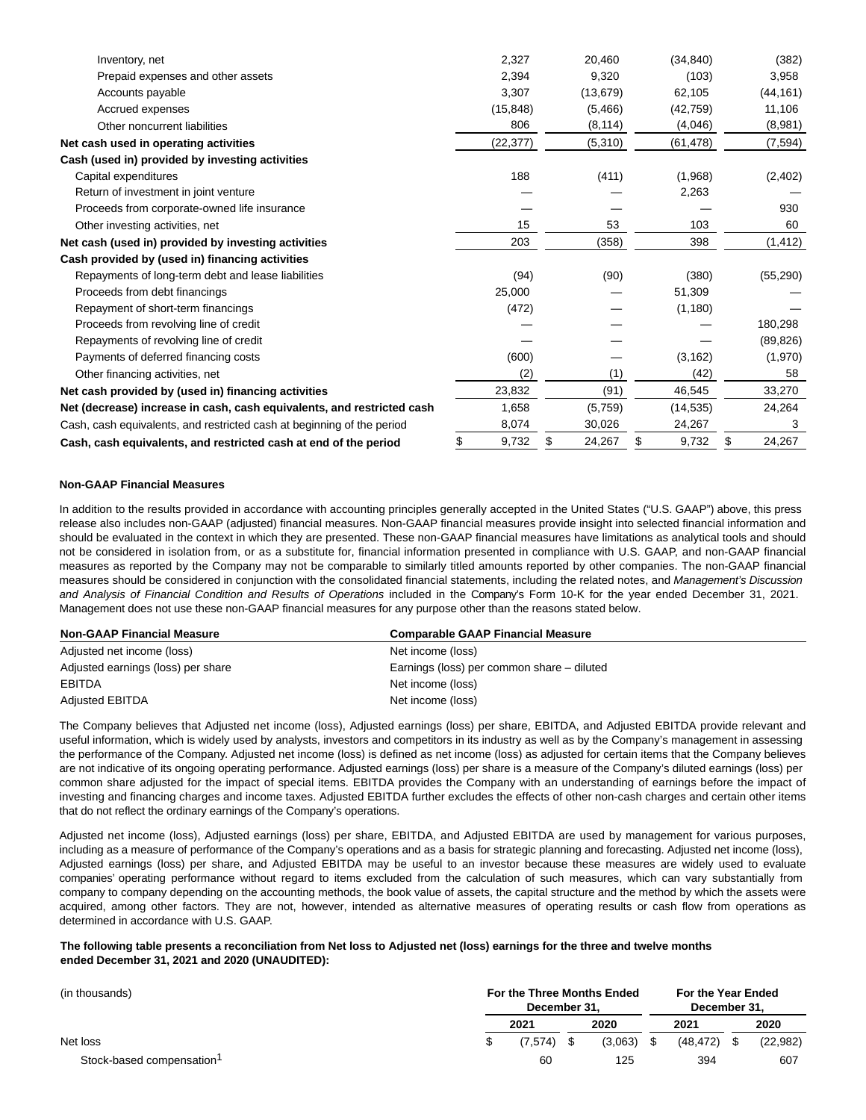| Inventory, net                                                         | 2,327       | 20,460       | (34, 840)   | (382)        |
|------------------------------------------------------------------------|-------------|--------------|-------------|--------------|
| Prepaid expenses and other assets                                      | 2,394       | 9,320        | (103)       | 3,958        |
| Accounts payable                                                       | 3,307       | (13, 679)    | 62,105      | (44, 161)    |
| Accrued expenses                                                       | (15, 848)   | (5, 466)     | (42, 759)   | 11,106       |
| Other noncurrent liabilities                                           | 806         | (8, 114)     | (4,046)     | (8,981)      |
| Net cash used in operating activities                                  | (22, 377)   | (5,310)      | (61, 478)   | (7, 594)     |
| Cash (used in) provided by investing activities                        |             |              |             |              |
| Capital expenditures                                                   | 188         | (411)        | (1,968)     | (2,402)      |
| Return of investment in joint venture                                  |             |              | 2,263       |              |
| Proceeds from corporate-owned life insurance                           |             |              |             | 930          |
| Other investing activities, net                                        | 15          | 53           | 103         | 60           |
| Net cash (used in) provided by investing activities                    | 203         | (358)        | 398         | (1, 412)     |
| Cash provided by (used in) financing activities                        |             |              |             |              |
| Repayments of long-term debt and lease liabilities                     | (94)        | (90)         | (380)       | (55, 290)    |
| Proceeds from debt financings                                          | 25,000      |              | 51,309      |              |
| Repayment of short-term financings                                     | (472)       |              | (1, 180)    |              |
| Proceeds from revolving line of credit                                 |             |              |             | 180,298      |
| Repayments of revolving line of credit                                 |             |              |             | (89, 826)    |
| Payments of deferred financing costs                                   | (600)       |              | (3, 162)    | (1,970)      |
| Other financing activities, net                                        | (2)         | (1)          | (42)        | 58           |
| Net cash provided by (used in) financing activities                    | 23,832      | (91)         | 46,545      | 33,270       |
| Net (decrease) increase in cash, cash equivalents, and restricted cash | 1,658       | (5,759)      | (14, 535)   | 24,264       |
| Cash, cash equivalents, and restricted cash at beginning of the period | 8,074       | 30,026       | 24,267      | 3            |
| Cash, cash equivalents, and restricted cash at end of the period       | \$<br>9,732 | \$<br>24,267 | 9,732<br>\$ | \$<br>24,267 |

#### **Non-GAAP Financial Measures**

In addition to the results provided in accordance with accounting principles generally accepted in the United States ("U.S. GAAP") above, this press release also includes non-GAAP (adjusted) financial measures. Non-GAAP financial measures provide insight into selected financial information and should be evaluated in the context in which they are presented. These non-GAAP financial measures have limitations as analytical tools and should not be considered in isolation from, or as a substitute for, financial information presented in compliance with U.S. GAAP, and non-GAAP financial measures as reported by the Company may not be comparable to similarly titled amounts reported by other companies. The non-GAAP financial measures should be considered in conjunction with the consolidated financial statements, including the related notes, and Management's Discussion and Analysis of Financial Condition and Results of Operations included in the Company's Form 10-K for the year ended December 31, 2021. Management does not use these non-GAAP financial measures for any purpose other than the reasons stated below.

| <b>Non-GAAP Financial Measure</b>  | <b>Comparable GAAP Financial Measure</b>   |
|------------------------------------|--------------------------------------------|
| Adjusted net income (loss)         | Net income (loss)                          |
| Adjusted earnings (loss) per share | Earnings (loss) per common share – diluted |
| <b>EBITDA</b>                      | Net income (loss)                          |
| <b>Adjusted EBITDA</b>             | Net income (loss)                          |

The Company believes that Adjusted net income (loss), Adjusted earnings (loss) per share, EBITDA, and Adjusted EBITDA provide relevant and useful information, which is widely used by analysts, investors and competitors in its industry as well as by the Company's management in assessing the performance of the Company. Adjusted net income (loss) is defined as net income (loss) as adjusted for certain items that the Company believes are not indicative of its ongoing operating performance. Adjusted earnings (loss) per share is a measure of the Company's diluted earnings (loss) per common share adjusted for the impact of special items. EBITDA provides the Company with an understanding of earnings before the impact of investing and financing charges and income taxes. Adjusted EBITDA further excludes the effects of other non-cash charges and certain other items that do not reflect the ordinary earnings of the Company's operations.

Adjusted net income (loss), Adjusted earnings (loss) per share, EBITDA, and Adjusted EBITDA are used by management for various purposes, including as a measure of performance of the Company's operations and as a basis for strategic planning and forecasting. Adjusted net income (loss), Adjusted earnings (loss) per share, and Adjusted EBITDA may be useful to an investor because these measures are widely used to evaluate companies' operating performance without regard to items excluded from the calculation of such measures, which can vary substantially from company to company depending on the accounting methods, the book value of assets, the capital structure and the method by which the assets were acquired, among other factors. They are not, however, intended as alternative measures of operating results or cash flow from operations as determined in accordance with U.S. GAAP.

## **The following table presents a reconciliation from Net loss to Adjusted net (loss) earnings for the three and twelve months ended December 31, 2021 and 2020 (UNAUDITED):**

| (in thousands)                        | For the Three Months Ended<br>December 31. |  | For the Year Ended<br>December 31. |      |          |     |          |  |
|---------------------------------------|--------------------------------------------|--|------------------------------------|------|----------|-----|----------|--|
|                                       | 2021                                       |  | 2020                               |      | 2021     |     | 2020     |  |
| Net loss                              | (7.574)                                    |  | (3,063)                            | - \$ | (48.472) | - S | (22,982) |  |
| Stock-based compensation <sup>1</sup> | 60                                         |  | 125                                |      | 394      |     | 607      |  |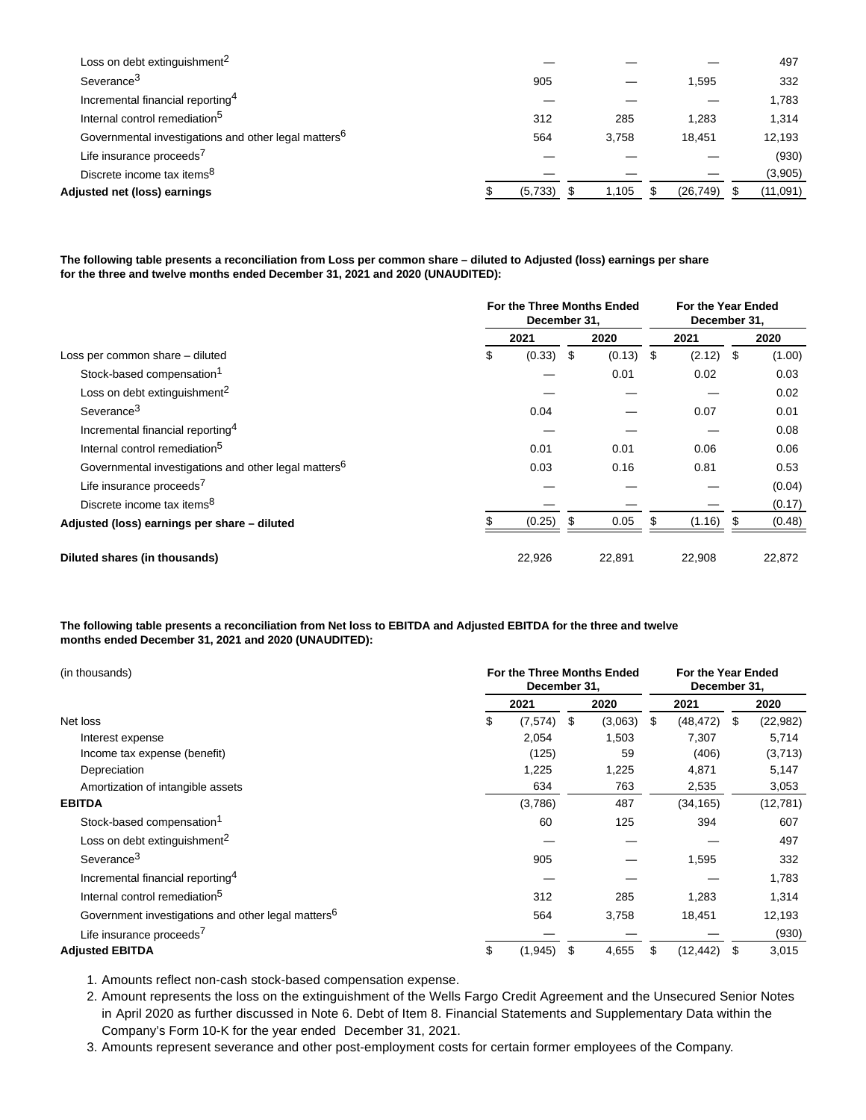| Loss on debt extinguishment <sup>2</sup>                         |         |       |          | 497      |
|------------------------------------------------------------------|---------|-------|----------|----------|
| Severance <sup>3</sup>                                           | 905     |       | 1.595    | 332      |
| Incremental financial reporting <sup>4</sup>                     |         |       |          | 1,783    |
| Internal control remediation <sup>5</sup>                        | 312     | 285   | 1.283    | 1,314    |
| Governmental investigations and other legal matters <sup>6</sup> | 564     | 3.758 | 18.451   | 12.193   |
| Life insurance proceeds <sup>7</sup>                             |         |       |          | (930)    |
| Discrete income tax items <sup>8</sup>                           |         |       |          | (3,905)  |
| <b>Adjusted net (loss) earnings</b>                              | (5,733) | 1,105 | (26,749) | (11,091) |
|                                                                  |         |       |          |          |

# **The following table presents a reconciliation from Loss per common share – diluted to Adjusted (loss) earnings per share for the three and twelve months ended December 31, 2021 and 2020 (UNAUDITED):**

|                                                                  | For the Three Months Ended<br>December 31, |        |    |        | For the Year Ended<br>December 31. |        |   |        |  |
|------------------------------------------------------------------|--------------------------------------------|--------|----|--------|------------------------------------|--------|---|--------|--|
|                                                                  |                                            | 2021   |    | 2020   |                                    | 2021   |   | 2020   |  |
| Loss per common share - diluted                                  | \$                                         | (0.33) | \$ | (0.13) | \$                                 | (2.12) | S | (1.00) |  |
| Stock-based compensation <sup>1</sup>                            |                                            |        |    | 0.01   |                                    | 0.02   |   | 0.03   |  |
| Loss on debt extinguishment <sup>2</sup>                         |                                            |        |    |        |                                    |        |   | 0.02   |  |
| Severance <sup>3</sup>                                           |                                            | 0.04   |    |        |                                    | 0.07   |   | 0.01   |  |
| Incremental financial reporting <sup>4</sup>                     |                                            |        |    |        |                                    |        |   | 0.08   |  |
| Internal control remediation <sup>5</sup>                        |                                            | 0.01   |    | 0.01   |                                    | 0.06   |   | 0.06   |  |
| Governmental investigations and other legal matters <sup>6</sup> |                                            | 0.03   |    | 0.16   |                                    | 0.81   |   | 0.53   |  |
| Life insurance proceeds <sup>7</sup>                             |                                            |        |    |        |                                    |        |   | (0.04) |  |
| Discrete income tax items <sup>8</sup>                           |                                            |        |    |        |                                    |        |   | (0.17) |  |
| Adjusted (loss) earnings per share - diluted                     |                                            | (0.25) |    | 0.05   | S                                  | (1.16) |   | (0.48) |  |
| Diluted shares (in thousands)                                    |                                            | 22,926 |    | 22,891 |                                    | 22,908 |   | 22,872 |  |

# **The following table presents a reconciliation from Net loss to EBITDA and Adjusted EBITDA for the three and twelve months ended December 31, 2021 and 2020 (UNAUDITED):**

| (in thousands)                                                 | For the Three Months Ended<br>December 31, |          |    |         |    | For the Year Ended<br>December 31, |      |           |  |  |  |
|----------------------------------------------------------------|--------------------------------------------|----------|----|---------|----|------------------------------------|------|-----------|--|--|--|
|                                                                |                                            | 2021     |    | 2020    |    | 2021                               |      | 2020      |  |  |  |
| Net loss                                                       | \$                                         | (7,574)  | \$ | (3,063) | \$ | (48, 472)                          | - \$ | (22, 982) |  |  |  |
| Interest expense                                               |                                            | 2,054    |    | 1,503   |    | 7,307                              |      | 5,714     |  |  |  |
| Income tax expense (benefit)                                   |                                            | (125)    |    | 59      |    | (406)                              |      | (3,713)   |  |  |  |
| Depreciation                                                   |                                            | 1,225    |    | 1,225   |    | 4,871                              |      | 5,147     |  |  |  |
| Amortization of intangible assets                              |                                            | 634      |    | 763     |    | 2,535                              |      | 3,053     |  |  |  |
| <b>EBITDA</b>                                                  |                                            | (3,786)  |    | 487     |    | (34, 165)                          |      | (12, 781) |  |  |  |
| Stock-based compensation <sup>1</sup>                          |                                            | 60       |    | 125     |    | 394                                |      | 607       |  |  |  |
| Loss on debt extinguishment <sup>2</sup>                       |                                            |          |    |         |    |                                    |      | 497       |  |  |  |
| Severance <sup>3</sup>                                         |                                            | 905      |    |         |    | 1,595                              |      | 332       |  |  |  |
| Incremental financial reporting <sup>4</sup>                   |                                            |          |    |         |    |                                    |      | 1,783     |  |  |  |
| Internal control remediation <sup>5</sup>                      |                                            | 312      |    | 285     |    | 1,283                              |      | 1,314     |  |  |  |
| Government investigations and other legal matters <sup>6</sup> |                                            | 564      |    | 3,758   |    | 18,451                             |      | 12,193    |  |  |  |
| Life insurance proceeds'                                       |                                            |          |    |         |    |                                    |      | (930)     |  |  |  |
| <b>Adjusted EBITDA</b>                                         | \$                                         | (1, 945) | \$ | 4,655   | \$ | (12, 442)                          | S    | 3,015     |  |  |  |

1. Amounts reflect non-cash stock-based compensation expense.

2. Amount represents the loss on the extinguishment of the Wells Fargo Credit Agreement and the Unsecured Senior Notes in April 2020 as further discussed in Note 6. Debt of Item 8. Financial Statements and Supplementary Data within the Company's Form 10-K for the year ended December 31, 2021.

3. Amounts represent severance and other post-employment costs for certain former employees of the Company.